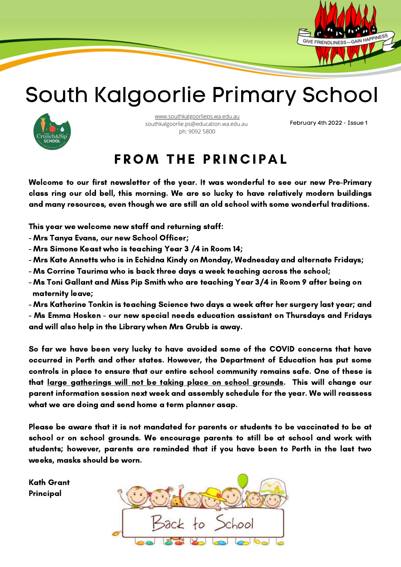

### South Kalgoorlie Primary School



[www.southkalgoorlieps.wa.edu.au](http://www.southkalgoorlieps.wa.edu.au/) southkalgoorlie.ps@education.wa.edu.au ph: 9092 5800

February 4th 2022 - Issue 1

#### **FROM THE PRINCIPAL**

Welcome to our first newsletter of the year. It was wonderful to see our new Pre-Primary class ring our old bell, this morning. We are so lucky to have relatively modern buildings and many resources, even though we are still an old school with some wonderful traditions.

This year we welcome new staff and returning staff:

- Mrs Tanya Evans, our new School Officer;
- Mrs Simone Keast who is teaching Year 3 /4 in Room 14;
- Mrs Kate Annetts who is in Echidna Kindy on Monday, Wednesday and alternate Fridays;
- Ms Corrine Taurima who is back three days a week teaching across the school;
- Ms Toni Gallant and Miss Pip Smith who are teaching Year 3/4 in Room 9 after being on maternity leave;
- Mrs Katherine Tonkin is teaching Science two days a week after her surgery last year; and
- Ms Emma Hosken our new special needs education assistant on Thursdays and Fridays and will also help in the Library when Mrs Grubb is away.

So far we have been very lucky to have avoided some of the COVID concerns that have occurred in Perth and other states. However, the Department of Education has put some controls in place to ensure that our entire school community remains safe. One of these is that large gatherings will not be taking place on school grounds. This will change our parent information session next week and assembly schedule for the year. We will reassess what we are doing and send home a term planner asap.

Please be aware that it is not mandated for parents or students to be vaccinated to be at school or on school grounds. We encourage parents to still be at school and work with students; however, parents are reminded that if you have been to Perth in the last two weeks, masks should be worn.

Kath Grant Principal